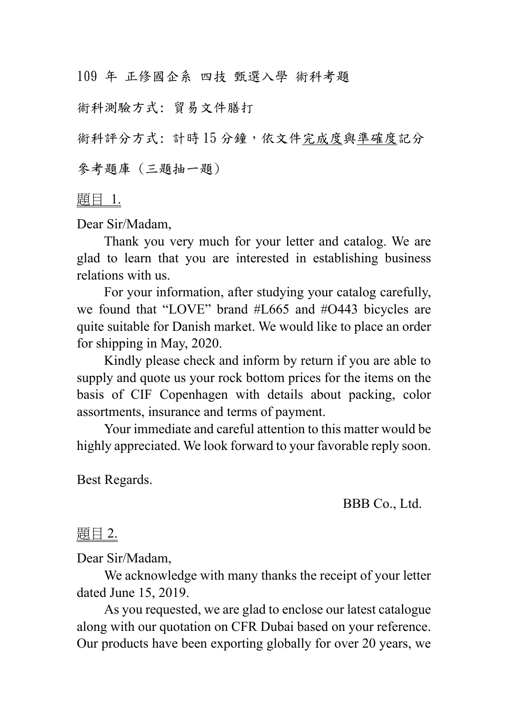109 年 正修國企系 四技 甄選入學 術科考題

術科測驗方式: 貿易文件膳打

術科評分方式: 計時15分鐘,依文件完成度與準確度記分

參考題庫 (三題抽一題)

題目 1.

Dear Sir/Madam,

Thank you very much for your letter and catalog. We are glad to learn that you are interested in establishing business relations with us.

For your information, after studying your catalog carefully, we found that "LOVE" brand #L665 and #O443 bicycles are quite suitable for Danish market. We would like to place an order for shipping in May, 2020.

Kindly please check and inform by return if you are able to supply and quote us your rock bottom prices for the items on the basis of CIF Copenhagen with details about packing, color assortments, insurance and terms of payment.

Your immediate and careful attention to this matter would be highly appreciated. We look forward to your favorable reply soon.

Best Regards.

BBB Co., Ltd.

## 題目 2.

Dear Sir/Madam,

We acknowledge with many thanks the receipt of your letter dated June 15, 2019.

As you requested, we are glad to enclose our latest catalogue along with our quotation on CFR Dubai based on your reference. Our products have been exporting globally for over 20 years, we